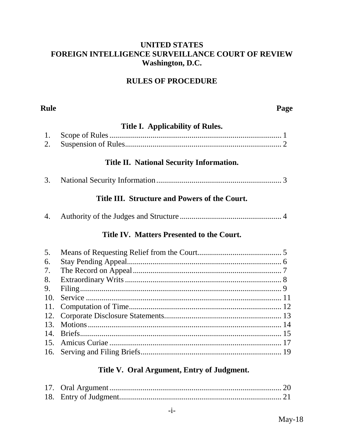#### **UNITED STATES** FOREIGN INTELLIGENCE SURVEILLANCE COURT OF REVIEW Washington, D.C.

## **RULES OF PROCEDURE**

#### **Rule**

#### Page

#### Title I. Applicability of Rules.

#### Title II. National Security Information.

3.

#### Title III. Structure and Powers of the Court.

|  | 4. |  |  |  |  |  |
|--|----|--|--|--|--|--|
|--|----|--|--|--|--|--|

#### Title IV. Matters Presented to the Court.

| 5. |  |
|----|--|
| 6. |  |
| 7. |  |
| 8. |  |
| 9. |  |
|    |  |
|    |  |
|    |  |
|    |  |
|    |  |
|    |  |
|    |  |

#### Title V. Oral Argument, Entry of Judgment.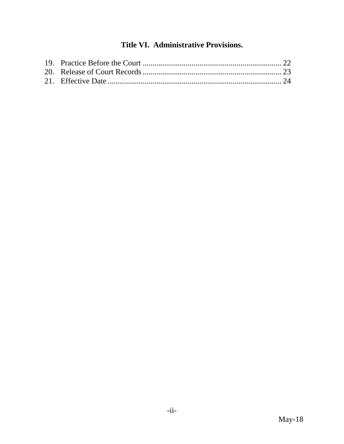# **Title VI. Administrative Provisions.**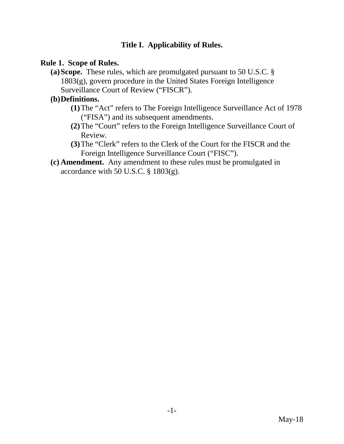## **Title I. Applicability of Rules.**

#### **Rule 1. Scope of Rules.**

**(a)Scope.** These rules, which are promulgated pursuant to 50 U.S.C. § 1803(g), govern procedure in the United States Foreign Intelligence Surveillance Court of Review ("FISCR").

## **(b)Definitions.**

- **(1)**The "Act" refers to The Foreign Intelligence Surveillance Act of 1978 ("FISA") and its subsequent amendments.
- **(2)**The "Court" refers to the Foreign Intelligence Surveillance Court of Review.
- **(3)**The "Clerk" refers to the Clerk of the Court for the FISCR and the Foreign Intelligence Surveillance Court ("FISC").
- **(c) Amendment.** Any amendment to these rules must be promulgated in accordance with 50 U.S.C.  $\S$  1803(g).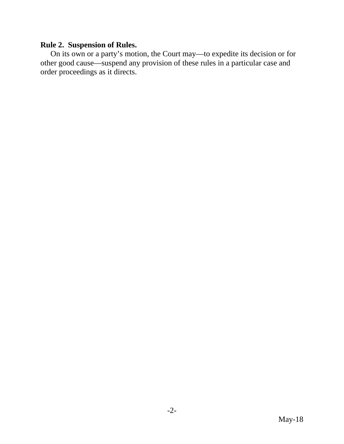## **Rule 2. Suspension of Rules.**

On its own or a party's motion, the Court may—to expedite its decision or for other good cause—suspend any provision of these rules in a particular case and order proceedings as it directs.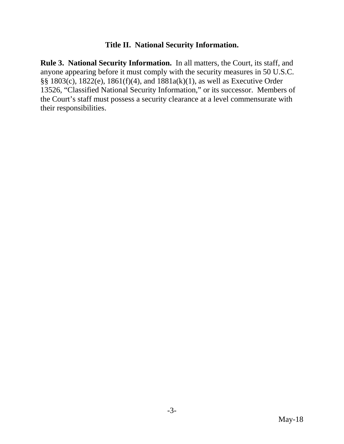#### **Title II. National Security Information.**

**Rule 3. National Security Information.** In all matters, the Court, its staff, and anyone appearing before it must comply with the security measures in 50 U.S.C. §§ 1803(c), 1822(e), 1861(f)(4), and 1881a(k)(1), as well as Executive Order 13526, "Classified National Security Information," or its successor. Members of the Court's staff must possess a security clearance at a level commensurate with their responsibilities.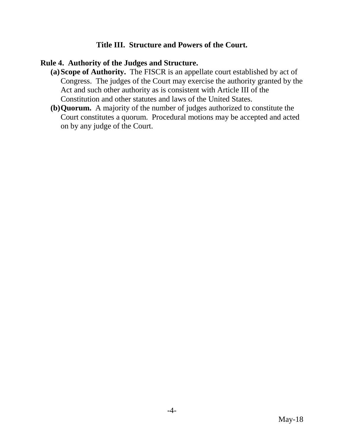### **Title III. Structure and Powers of the Court.**

#### **Rule 4. Authority of the Judges and Structure.**

- **(a)Scope of Authority.** The FISCR is an appellate court established by act of Congress. The judges of the Court may exercise the authority granted by the Act and such other authority as is consistent with Article III of the Constitution and other statutes and laws of the United States.
- **(b)Quorum.** A majority of the number of judges authorized to constitute the Court constitutes a quorum. Procedural motions may be accepted and acted on by any judge of the Court.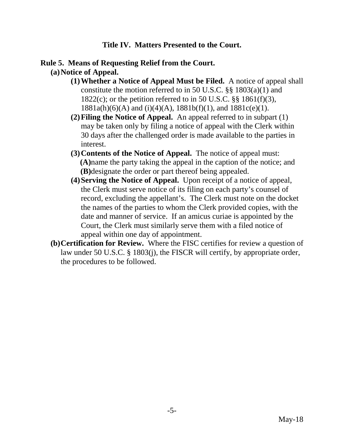#### **Title IV. Matters Presented to the Court.**

#### **Rule 5. Means of Requesting Relief from the Court.**

- **(a)Notice of Appeal.**
	- **(1)Whether a Notice of Appeal Must be Filed.** A notice of appeal shall constitute the motion referred to in 50 U.S.C. §§ 1803(a)(1) and 1822(c); or the petition referred to in 50 U.S.C.  $\S$  1861(f)(3), 1881a(h)(6)(A) and (i)(4)(A), 1881b(f)(1), and 1881c(e)(1).
	- **(2)Filing the Notice of Appeal.** An appeal referred to in subpart (1) may be taken only by filing a notice of appeal with the Clerk within 30 days after the challenged order is made available to the parties in interest.
	- **(3)Contents of the Notice of Appeal.** The notice of appeal must: **(A)**name the party taking the appeal in the caption of the notice; and **(B)**designate the order or part thereof being appealed.
	- **(4)Serving the Notice of Appeal.** Upon receipt of a notice of appeal, the Clerk must serve notice of its filing on each party's counsel of record, excluding the appellant's. The Clerk must note on the docket the names of the parties to whom the Clerk provided copies, with the date and manner of service. If an amicus curiae is appointed by the Court, the Clerk must similarly serve them with a filed notice of appeal within one day of appointment.
- **(b)Certification for Review.** Where the FISC certifies for review a question of law under 50 U.S.C. § 1803(j), the FISCR will certify, by appropriate order, the procedures to be followed.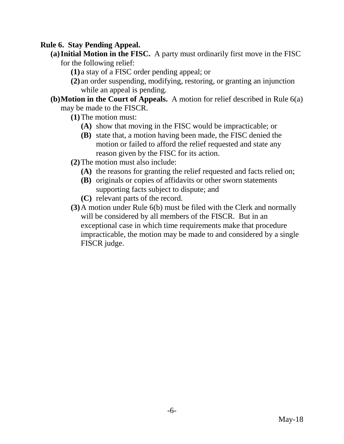## **Rule 6. Stay Pending Appeal.**

- **(a)Initial Motion in the FISC.** A party must ordinarily first move in the FISC for the following relief:
	- **(1)** a stay of a FISC order pending appeal; or
	- **(2)** an order suspending, modifying, restoring, or granting an injunction while an appeal is pending.
- **(b)Motion in the Court of Appeals.** A motion for relief described in Rule 6(a) may be made to the FISCR.
	- **(1)**The motion must:
		- **(A)** show that moving in the FISC would be impracticable; or
		- **(B)** state that, a motion having been made, the FISC denied the motion or failed to afford the relief requested and state any reason given by the FISC for its action.
	- **(2)**The motion must also include:
		- **(A)** the reasons for granting the relief requested and facts relied on;
		- **(B)** originals or copies of affidavits or other sworn statements supporting facts subject to dispute; and
		- **(C)** relevant parts of the record.
	- **(3)**A motion under Rule 6(b) must be filed with the Clerk and normally will be considered by all members of the FISCR. But in an exceptional case in which time requirements make that procedure impracticable, the motion may be made to and considered by a single FISCR judge.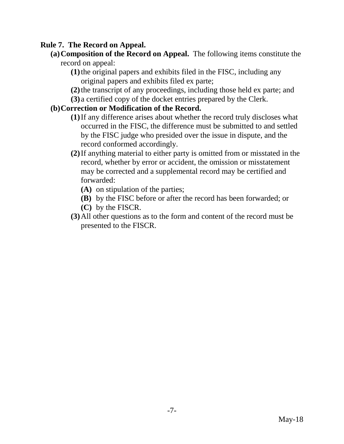## **Rule 7. The Record on Appeal.**

- **(a)Composition of the Record on Appeal.** The following items constitute the record on appeal:
	- **(1)**the original papers and exhibits filed in the FISC, including any original papers and exhibits filed ex parte;
	- **(2)**the transcript of any proceedings, including those held ex parte; and **(3)** a certified copy of the docket entries prepared by the Clerk.
	-

# **(b)Correction or Modification of the Record.**

- **(1)**If any difference arises about whether the record truly discloses what occurred in the FISC, the difference must be submitted to and settled by the FISC judge who presided over the issue in dispute, and the record conformed accordingly.
- **(2)**If anything material to either party is omitted from or misstated in the record, whether by error or accident, the omission or misstatement may be corrected and a supplemental record may be certified and forwarded:
	- **(A)** on stipulation of the parties;
	- **(B)** by the FISC before or after the record has been forwarded; or
	- **(C)** by the FISCR.
- **(3)**All other questions as to the form and content of the record must be presented to the FISCR.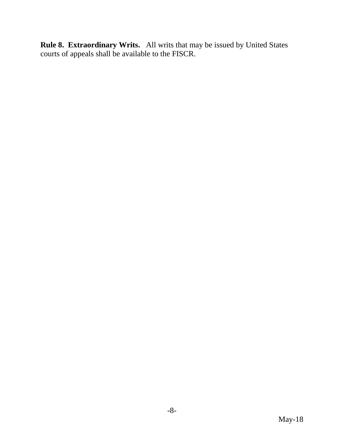**Rule 8. Extraordinary Writs.** All writs that may be issued by United States courts of appeals shall be available to the FISCR.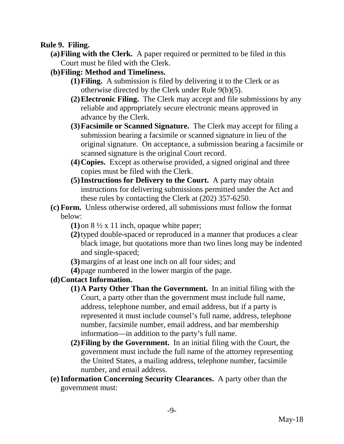### **Rule 9. Filing.**

- **(a)Filing with the Clerk.** A paper required or permitted to be filed in this Court must be filed with the Clerk.
- **(b)Filing: Method and Timeliness.**
	- **(1)Filing.** A submission is filed by delivering it to the Clerk or as otherwise directed by the Clerk under Rule 9(b)(5).
	- **(2)Electronic Filing.** The Clerk may accept and file submissions by any reliable and appropriately secure electronic means approved in advance by the Clerk.
	- **(3)Facsimile or Scanned Signature.** The Clerk may accept for filing a submission bearing a facsimile or scanned signature in lieu of the original signature. On acceptance, a submission bearing a facsimile or scanned signature is the original Court record.
	- **(4)Copies.** Except as otherwise provided, a signed original and three copies must be filed with the Clerk.
	- **(5)Instructions for Delivery to the Court.** A party may obtain instructions for delivering submissions permitted under the Act and these rules by contacting the Clerk at (202) 357-6250.
- **(c) Form.** Unless otherwise ordered, all submissions must follow the format below:
	- **(1)**on 8 ½ x 11 inch, opaque white paper;
	- **(2)**typed double-spaced or reproduced in a manner that produces a clear black image, but quotations more than two lines long may be indented and single-spaced;
	- **(3)**margins of at least one inch on all four sides; and
	- **(4)**page numbered in the lower margin of the page.
- **(d)Contact Information.**
	- **(1)A Party Other Than the Government.** In an initial filing with the Court, a party other than the government must include full name, address, telephone number, and email address, but if a party is represented it must include counsel's full name, address, telephone number, facsimile number, email address, and bar membership information—in addition to the party's full name.
	- **(2)Filing by the Government.** In an initial filing with the Court, the government must include the full name of the attorney representing the United States, a mailing address, telephone number, facsimile number, and email address.
- **(e)Information Concerning Security Clearances.** A party other than the government must: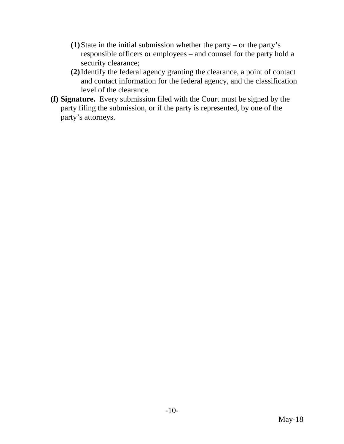- **(1)**State in the initial submission whether the party or the party's responsible officers or employees – and counsel for the party hold a security clearance;
- **(2)**Identify the federal agency granting the clearance, a point of contact and contact information for the federal agency, and the classification level of the clearance.
- **(f) Signature.** Every submission filed with the Court must be signed by the party filing the submission, or if the party is represented, by one of the party's attorneys.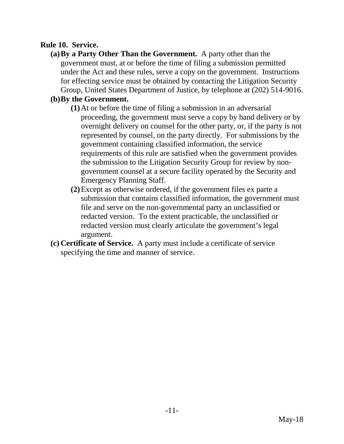### **Rule 10. Service.**

**(a)By a Party Other Than the Government.** A party other than the government must, at or before the time of filing a submission permitted under the Act and these rules, serve a copy on the government. Instructions for effecting service must be obtained by contacting the Litigation Security Group, United States Department of Justice, by telephone at (202) 514-9016.

# **(b)By the Government.**

- **(1)**At or before the time of filing a submission in an adversarial proceeding, the government must serve a copy by hand delivery or by overnight delivery on counsel for the other party, or, if the party is not represented by counsel, on the party directly. For submissions by the government containing classified information, the service requirements of this rule are satisfied when the government provides the submission to the Litigation Security Group for review by nongovernment counsel at a secure facility operated by the Security and Emergency Planning Staff.
- **(2)**Except as otherwise ordered, if the government files ex parte a submission that contains classified information, the government must file and serve on the non-governmental party an unclassified or redacted version. To the extent practicable, the unclassified or redacted version must clearly articulate the government's legal argument.
- **(c) Certificate of Service.** A party must include a certificate of service specifying the time and manner of service.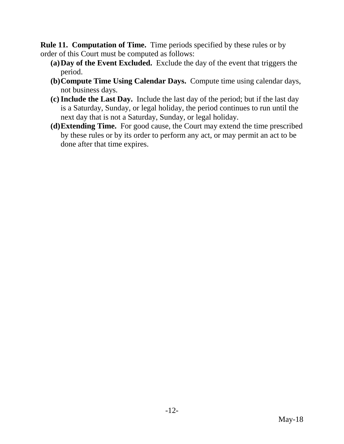**Rule 11. Computation of Time.** Time periods specified by these rules or by order of this Court must be computed as follows:

- **(a)Day of the Event Excluded.** Exclude the day of the event that triggers the period.
- **(b)Compute Time Using Calendar Days.** Compute time using calendar days, not business days.
- **(c)Include the Last Day.** Include the last day of the period; but if the last day is a Saturday, Sunday, or legal holiday, the period continues to run until the next day that is not a Saturday, Sunday, or legal holiday.
- **(d)Extending Time.** For good cause, the Court may extend the time prescribed by these rules or by its order to perform any act, or may permit an act to be done after that time expires.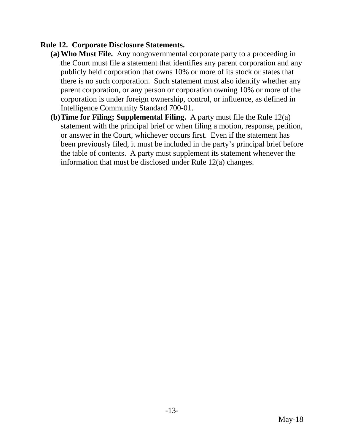### **Rule 12. Corporate Disclosure Statements.**

- **(a)Who Must File.** Any nongovernmental corporate party to a proceeding in the Court must file a statement that identifies any parent corporation and any publicly held corporation that owns 10% or more of its stock or states that there is no such corporation. Such statement must also identify whether any parent corporation, or any person or corporation owning 10% or more of the corporation is under foreign ownership, control, or influence, as defined in Intelligence Community Standard 700-01.
- **(b)Time for Filing; Supplemental Filing.** A party must file the Rule 12(a) statement with the principal brief or when filing a motion, response, petition, or answer in the Court, whichever occurs first. Even if the statement has been previously filed, it must be included in the party's principal brief before the table of contents. A party must supplement its statement whenever the information that must be disclosed under Rule 12(a) changes.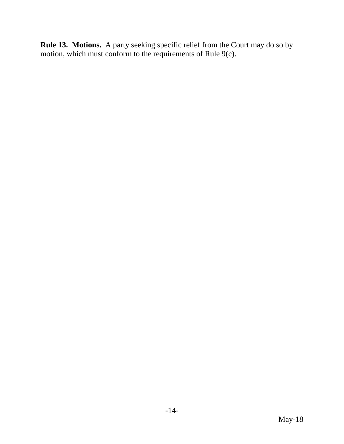**Rule 13. Motions.** A party seeking specific relief from the Court may do so by motion, which must conform to the requirements of Rule 9(c).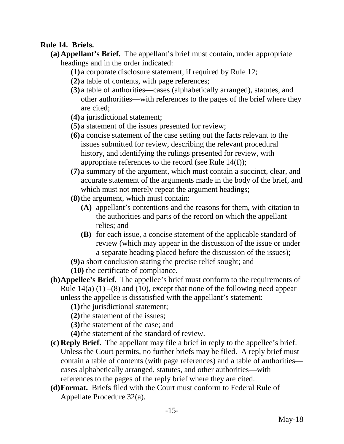## **Rule 14. Briefs.**

- **(a)Appellant's Brief.** The appellant's brief must contain, under appropriate headings and in the order indicated:
	- **(1)** a corporate disclosure statement, if required by Rule 12;
	- **(2)** a table of contents, with page references;
	- **(3)** a table of authorities—cases (alphabetically arranged), statutes, and other authorities—with references to the pages of the brief where they are cited;
	- **(4)** a jurisdictional statement;
	- **(5)** a statement of the issues presented for review;
	- **(6)** a concise statement of the case setting out the facts relevant to the issues submitted for review, describing the relevant procedural history, and identifying the rulings presented for review, with appropriate references to the record (see Rule 14(f));
	- **(7)** a summary of the argument, which must contain a succinct, clear, and accurate statement of the arguments made in the body of the brief, and which must not merely repeat the argument headings;
	- **(8)**the argument, which must contain:
		- **(A)** appellant's contentions and the reasons for them, with citation to the authorities and parts of the record on which the appellant relies; and
		- **(B)** for each issue, a concise statement of the applicable standard of review (which may appear in the discussion of the issue or under a separate heading placed before the discussion of the issues);
	- **(9)** a short conclusion stating the precise relief sought; and
	- **(10)** the certificate of compliance.
- **(b)Appellee's Brief.** The appellee's brief must conform to the requirements of Rule  $14(a) (1) - (8)$  and  $(10)$ , except that none of the following need appear unless the appellee is dissatisfied with the appellant's statement:
	- **(1)**the jurisdictional statement;
	- **(2)**the statement of the issues;
	- **(3)**the statement of the case; and
	- **(4)**the statement of the standard of review.
- **(c) Reply Brief.** The appellant may file a brief in reply to the appellee's brief. Unless the Court permits, no further briefs may be filed. A reply brief must contain a table of contents (with page references) and a table of authorities cases alphabetically arranged, statutes, and other authorities—with references to the pages of the reply brief where they are cited.
- **(d)Format.** Briefs filed with the Court must conform to Federal Rule of Appellate Procedure 32(a).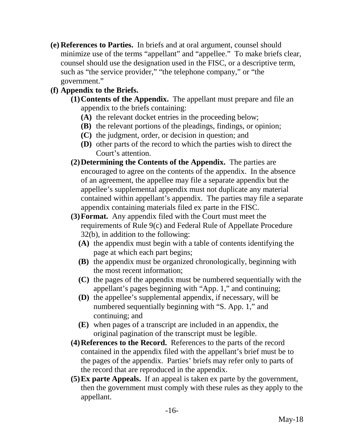**(e) References to Parties.** In briefs and at oral argument, counsel should minimize use of the terms "appellant" and "appellee." To make briefs clear, counsel should use the designation used in the FISC, or a descriptive term, such as "the service provider," "the telephone company," or "the government."

# **(f) Appendix to the Briefs.**

- **(1)Contents of the Appendix.** The appellant must prepare and file an appendix to the briefs containing:
	- **(A)** the relevant docket entries in the proceeding below;
	- **(B)** the relevant portions of the pleadings, findings, or opinion;
	- **(C)** the judgment, order, or decision in question; and
	- **(D)** other parts of the record to which the parties wish to direct the Court's attention.
- **(2)Determining the Contents of the Appendix.** The parties are encouraged to agree on the contents of the appendix. In the absence of an agreement, the appellee may file a separate appendix but the appellee's supplemental appendix must not duplicate any material contained within appellant's appendix. The parties may file a separate appendix containing materials filed ex parte in the FISC.
- **(3)Format.** Any appendix filed with the Court must meet the requirements of Rule 9(c) and Federal Rule of Appellate Procedure 32(b), in addition to the following:
	- **(A)** the appendix must begin with a table of contents identifying the page at which each part begins;
	- **(B)** the appendix must be organized chronologically, beginning with the most recent information;
	- **(C)** the pages of the appendix must be numbered sequentially with the appellant's pages beginning with "App. 1," and continuing;
	- **(D)** the appellee's supplemental appendix, if necessary, will be numbered sequentially beginning with "S. App. 1," and continuing; and
	- **(E)** when pages of a transcript are included in an appendix, the original pagination of the transcript must be legible.
- **(4)References to the Record.** References to the parts of the record contained in the appendix filed with the appellant's brief must be to the pages of the appendix. Parties' briefs may refer only to parts of the record that are reproduced in the appendix.
- **(5)Ex parte Appeals.** If an appeal is taken ex parte by the government, then the government must comply with these rules as they apply to the appellant.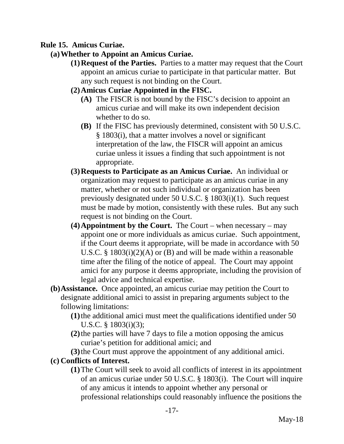## **Rule 15. Amicus Curiae.**

# **(a)Whether to Appoint an Amicus Curiae.**

**(1)Request of the Parties.** Parties to a matter may request that the Court appoint an amicus curiae to participate in that particular matter. But any such request is not binding on the Court.

# **(2)Amicus Curiae Appointed in the FISC.**

- **(A)** The FISCR is not bound by the FISC's decision to appoint an amicus curiae and will make its own independent decision whether to do so.
- **(B)** If the FISC has previously determined, consistent with 50 U.S.C. § 1803(i), that a matter involves a novel or significant interpretation of the law, the FISCR will appoint an amicus curiae unless it issues a finding that such appointment is not appropriate.
- **(3)Requests to Participate as an Amicus Curiae.** An individual or organization may request to participate as an amicus curiae in any matter, whether or not such individual or organization has been previously designated under 50 U.S.C. § 1803(i)(1). Such request must be made by motion, consistently with these rules. But any such request is not binding on the Court.
- **(4)Appointment by the Court.** The Court when necessary may appoint one or more individuals as amicus curiae. Such appointment, if the Court deems it appropriate, will be made in accordance with 50 U.S.C. § 1803(i)(2)(A) or (B) and will be made within a reasonable time after the filing of the notice of appeal. The Court may appoint amici for any purpose it deems appropriate, including the provision of legal advice and technical expertise.
- **(b)Assistance.** Once appointed, an amicus curiae may petition the Court to designate additional amici to assist in preparing arguments subject to the following limitations:
	- **(1)**the additional amici must meet the qualifications identified under 50 U.S.C. § 1803(i)(3);
	- **(2)**the parties will have 7 days to file a motion opposing the amicus curiae's petition for additional amici; and
	- **(3)**the Court must approve the appointment of any additional amici.

### **(c) Conflicts of Interest.**

**(1)**The Court will seek to avoid all conflicts of interest in its appointment of an amicus curiae under 50 U.S.C. § 1803(i). The Court will inquire of any amicus it intends to appoint whether any personal or professional relationships could reasonably influence the positions the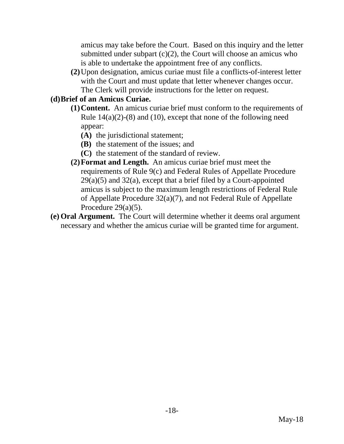amicus may take before the Court. Based on this inquiry and the letter submitted under subpart  $(c)(2)$ , the Court will choose an amicus who is able to undertake the appointment free of any conflicts.

**(2)**Upon designation, amicus curiae must file a conflicts-of-interest letter with the Court and must update that letter whenever changes occur. The Clerk will provide instructions for the letter on request.

# **(d)Brief of an Amicus Curiae.**

- **(1)Content.** An amicus curiae brief must conform to the requirements of Rule  $14(a)(2)-(8)$  and  $(10)$ , except that none of the following need appear:
	- **(A)** the jurisdictional statement;
	- **(B)** the statement of the issues; and
	- **(C)** the statement of the standard of review.
- **(2)Format and Length.** An amicus curiae brief must meet the requirements of Rule 9(c) and Federal Rules of Appellate Procedure  $29(a)(5)$  and  $32(a)$ , except that a brief filed by a Court-appointed amicus is subject to the maximum length restrictions of Federal Rule of Appellate Procedure 32(a)(7), and not Federal Rule of Appellate Procedure 29(a)(5).
- **(e) Oral Argument.** The Court will determine whether it deems oral argument necessary and whether the amicus curiae will be granted time for argument.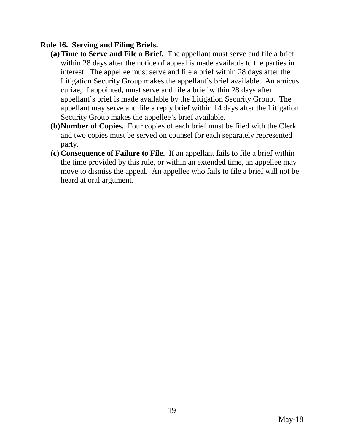# **Rule 16. Serving and Filing Briefs.**

- **(a)Time to Serve and File a Brief.** The appellant must serve and file a brief within 28 days after the notice of appeal is made available to the parties in interest. The appellee must serve and file a brief within 28 days after the Litigation Security Group makes the appellant's brief available. An amicus curiae, if appointed, must serve and file a brief within 28 days after appellant's brief is made available by the Litigation Security Group. The appellant may serve and file a reply brief within 14 days after the Litigation Security Group makes the appellee's brief available.
- **(b)Number of Copies.** Four copies of each brief must be filed with the Clerk and two copies must be served on counsel for each separately represented party.
- **(c) Consequence of Failure to File.** If an appellant fails to file a brief within the time provided by this rule, or within an extended time, an appellee may move to dismiss the appeal. An appellee who fails to file a brief will not be heard at oral argument.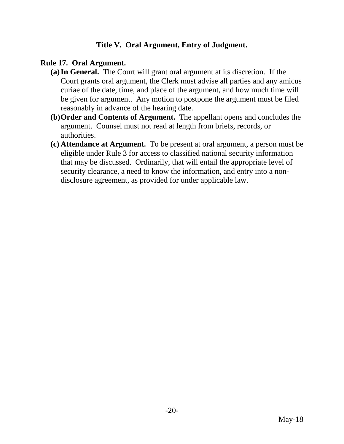## **Title V. Oral Argument, Entry of Judgment.**

#### **Rule 17. Oral Argument.**

- **(a)In General.** The Court will grant oral argument at its discretion. If the Court grants oral argument, the Clerk must advise all parties and any amicus curiae of the date, time, and place of the argument, and how much time will be given for argument. Any motion to postpone the argument must be filed reasonably in advance of the hearing date.
- **(b)Order and Contents of Argument.** The appellant opens and concludes the argument. Counsel must not read at length from briefs, records, or authorities.
- **(c) Attendance at Argument.** To be present at oral argument, a person must be eligible under Rule 3 for access to classified national security information that may be discussed. Ordinarily, that will entail the appropriate level of security clearance, a need to know the information, and entry into a nondisclosure agreement, as provided for under applicable law.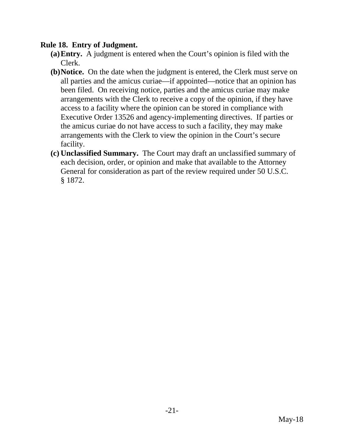#### **Rule 18. Entry of Judgment.**

- **(a)Entry.** A judgment is entered when the Court's opinion is filed with the Clerk.
- **(b)Notice.** On the date when the judgment is entered, the Clerk must serve on all parties and the amicus curiae—if appointed—notice that an opinion has been filed. On receiving notice, parties and the amicus curiae may make arrangements with the Clerk to receive a copy of the opinion, if they have access to a facility where the opinion can be stored in compliance with Executive Order 13526 and agency-implementing directives. If parties or the amicus curiae do not have access to such a facility, they may make arrangements with the Clerk to view the opinion in the Court's secure facility.
- **(c) Unclassified Summary.** The Court may draft an unclassified summary of each decision, order, or opinion and make that available to the Attorney General for consideration as part of the review required under 50 U.S.C. § 1872.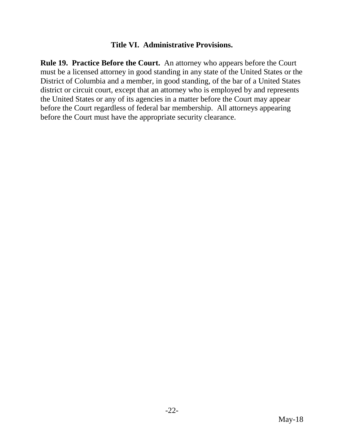#### **Title VI. Administrative Provisions.**

**Rule 19. Practice Before the Court.** An attorney who appears before the Court must be a licensed attorney in good standing in any state of the United States or the District of Columbia and a member, in good standing, of the bar of a United States district or circuit court, except that an attorney who is employed by and represents the United States or any of its agencies in a matter before the Court may appear before the Court regardless of federal bar membership. All attorneys appearing before the Court must have the appropriate security clearance.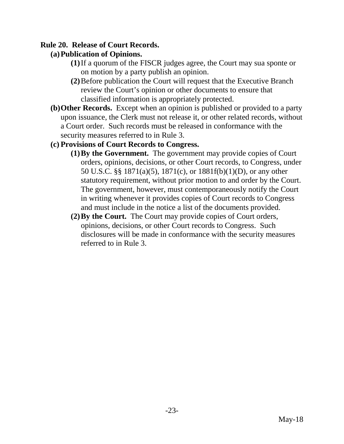#### **Rule 20. Release of Court Records.**

## **(a)Publication of Opinions.**

- **(1)**If a quorum of the FISCR judges agree, the Court may sua sponte or on motion by a party publish an opinion.
- **(2)**Before publication the Court will request that the Executive Branch review the Court's opinion or other documents to ensure that classified information is appropriately protected.
- **(b)Other Records.** Except when an opinion is published or provided to a party upon issuance, the Clerk must not release it, or other related records, without a Court order. Such records must be released in conformance with the security measures referred to in Rule 3.

### **(c) Provisions of Court Records to Congress.**

- **(1)By the Government.** The government may provide copies of Court orders, opinions, decisions, or other Court records, to Congress, under 50 U.S.C. §§ 1871(a)(5), 1871(c), or 1881f(b)(1)(D), or any other statutory requirement, without prior motion to and order by the Court. The government, however, must contemporaneously notify the Court in writing whenever it provides copies of Court records to Congress and must include in the notice a list of the documents provided.
- **(2)By the Court.** The Court may provide copies of Court orders, opinions, decisions, or other Court records to Congress. Such disclosures will be made in conformance with the security measures referred to in Rule 3.